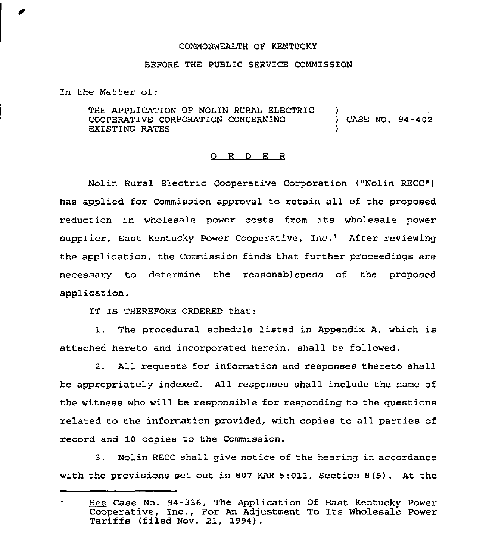#### COMMONWEALTH OF KENTUCKy

### BEFORE THE PUBLIC SERVICE COMMISSION

In the Matter of:

 $\sim$   $\sim$ 

THE APPLICATION OF NOLIN RURAL ELECTRIC COOPERATIVE CORPORATION CONCERNING EXISTING RATES ) ) CASE NO. 94-402 )

### 0 <sup>R</sup> <sup>D</sup> <sup>E</sup> <sup>R</sup>

Nolin Rural Electric Cooperative Corporation ("Nolin RECC") has applied for Commission approval to retain all of the proposed reduction in wholesale power costs from its wholesale power supplier, East Kentucky Power Cooperative, Inc.<sup>1</sup> After reviewing the application, the Commission finds that further proceedings are necessary to determine the reasonableness of the proposed application.

IT IS THEREFORE ORDERED that:

1. The procedural schedule listed in Appendix A, which is attached hereto and incorporated herein, shall be followed.

2. All requests for information and responses thereto shall be appropriately indexed. All responses shall include the name of the witness who will be responsible for responding to the questions related to the information provided, with copies to all parties of record and 10 copies to the Commission.

3. Nolin RECC shall give notice of the hearing in accordance with the provisions set out in 807 KAR 5:011, Section 8(5) . At the

 $\mathbf{1}$ See Case No. 94-336, The Application Of East Kentucky Power Cooperative, Inc., For An Adjustment To Its Wholesale Power Tariffs (filed Nov. 21, 1994).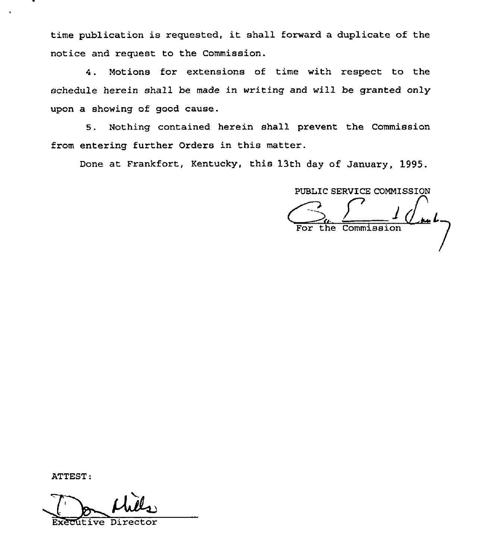time publication is requested, it shall forward <sup>a</sup> duplicate of the notice and request to the Commission.

4. Motions for extensions of time with respect to the schedule herein shall be made in writing and will be granted only upon a showing of good cause.

S. Nothing contained herein shall prevent the Commission from entering further Orders in this matter.

Done at Frankfort, Kentucky, this 13th day of January, 1995.

PUBLIC SERVICE COMMISSION  $\boldsymbol{\mu}$ 

ATTEST:<br>The Mills